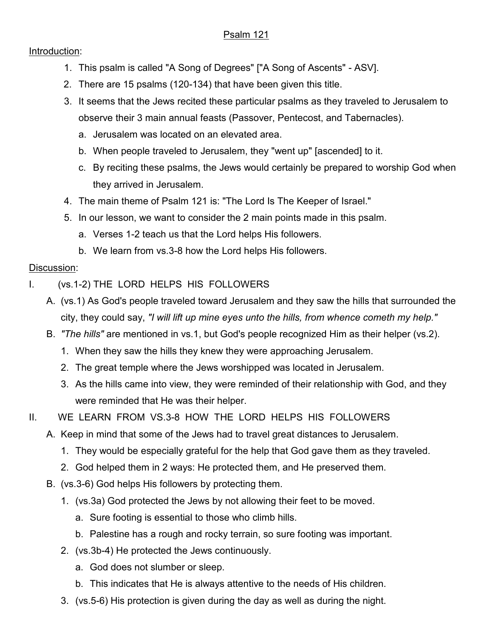## Psalm 121

## Introduction:

- 1. This psalm is called "A Song of Degrees" ["A Song of Ascents" ASV].
- 2. There are 15 psalms (120-134) that have been given this title.
- 3. It seems that the Jews recited these particular psalms as they traveled to Jerusalem to observe their 3 main annual feasts (Passover, Pentecost, and Tabernacles).
	- a. Jerusalem was located on an elevated area.
	- b. When people traveled to Jerusalem, they "went up" [ascended] to it.
	- c. By reciting these psalms, the Jews would certainly be prepared to worship God when they arrived in Jerusalem.
- 4. The main theme of Psalm 121 is: "The Lord Is The Keeper of Israel."
- 5. In our lesson, we want to consider the 2 main points made in this psalm.
	- a. Verses 1-2 teach us that the Lord helps His followers.
	- b. We learn from vs.3-8 how the Lord helps His followers.

## Discussion:

- I. (vs.1-2) THE LORD HELPS HIS FOLLOWERS
	- A. (vs.1) As God's people traveled toward Jerusalem and they saw the hills that surrounded the city, they could say, *"I will lift up mine eyes unto the hills, from whence cometh my help."*
	- B. *"The hills"* are mentioned in vs.1, but God's people recognized Him as their helper (vs.2).
		- 1. When they saw the hills they knew they were approaching Jerusalem.
		- 2. The great temple where the Jews worshipped was located in Jerusalem.
		- 3. As the hills came into view, they were reminded of their relationship with God, and they were reminded that He was their helper.
- II. WE LEARN FROM VS.3-8 HOW THE LORD HELPS HIS FOLLOWERS
	- A. Keep in mind that some of the Jews had to travel great distances to Jerusalem.
		- 1. They would be especially grateful for the help that God gave them as they traveled.
		- 2. God helped them in 2 ways: He protected them, and He preserved them.
	- B. (vs.3-6) God helps His followers by protecting them.
		- 1. (vs.3a) God protected the Jews by not allowing their feet to be moved.
			- a. Sure footing is essential to those who climb hills.
			- b. Palestine has a rough and rocky terrain, so sure footing was important.
		- 2. (vs.3b-4) He protected the Jews continuously.
			- a. God does not slumber or sleep.
			- b. This indicates that He is always attentive to the needs of His children.
		- 3. (vs.5-6) His protection is given during the day as well as during the night.